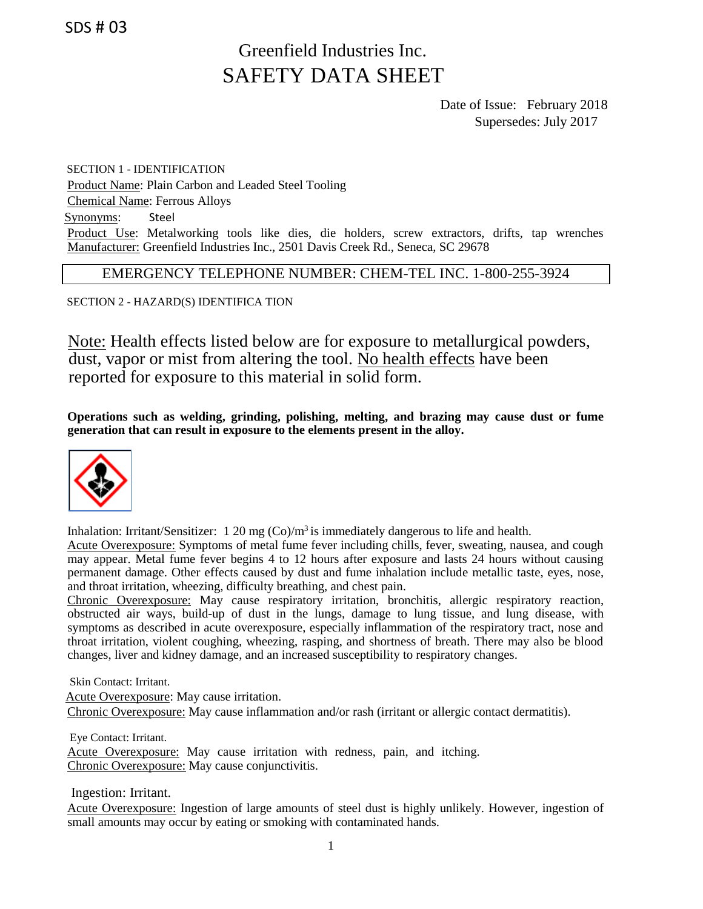SDS # 03

# Greenfield Industries Inc. SAFETY DATA SHEET

Date of Issue: February 2018 Supersedes: July 2017

SECTION 1 - IDENTIFICATION Product Name: Plain Carbon and Leaded Steel Tooling Chemical Name: Ferrous Alloys Synonyms: Steel Product Use: Metalworking tools like dies, die holders, screw extractors, drifts, tap wrenches Manufacturer: Greenfield Industries Inc., 2501 Davis Creek Rd., Seneca, SC 29678

EMERGENCY TELEPHONE NUMBER: CHEM-TEL INC. 1-800-255-3924

SECTION 2 - HAZARD(S) IDENTIFICA TION

Note: Health effects listed below are for exposure to metallurgical powders, dust, vapor or mist from altering the tool. No health effects have been reported for exposure to this material in solid form.

**Operations such as welding, grinding, polishing, melting, and brazing may cause dust or fume generation that can result in exposure to the elements present in the alloy.**



Inhalation: Irritant/Sensitizer:  $1.20 \text{ mg } (Co)/m^3$  is immediately dangerous to life and health.

Acute Overexposure: Symptoms of metal fume fever including chills, fever, sweating, nausea, and cough may appear. Metal fume fever begins 4 to 12 hours after exposure and lasts 24 hours without causing permanent damage. Other effects caused by dust and fume inhalation include metallic taste, eyes, nose, and throat irritation, wheezing, difficulty breathing, and chest pain.

Chronic Overexposure: May cause respiratory irritation, bronchitis, allergic respiratory reaction, obstructed air ways, build-up of dust in the lungs, damage to lung tissue, and lung disease, with symptoms as described in acute overexposure, especially inflammation of the respiratory tract, nose and throat irritation, violent coughing, wheezing, rasping, and shortness of breath. There may also be blood changes, liver and kidney damage, and an increased susceptibility to respiratory changes.

Skin Contact: Irritant.

Acute Overexposure: May cause irritation. Chronic Overexposure: May cause inflammation and/or rash (irritant or allergic contact dermatitis).

Eye Contact: Irritant.

Acute Overexposure: May cause irritation with redness, pain, and itching. Chronic Overexposure: May cause conjunctivitis.

Ingestion: Irritant.

Acute Overexposure: Ingestion of large amounts of steel dust is highly unlikely. However, ingestion of small amounts may occur by eating or smoking with contaminated hands.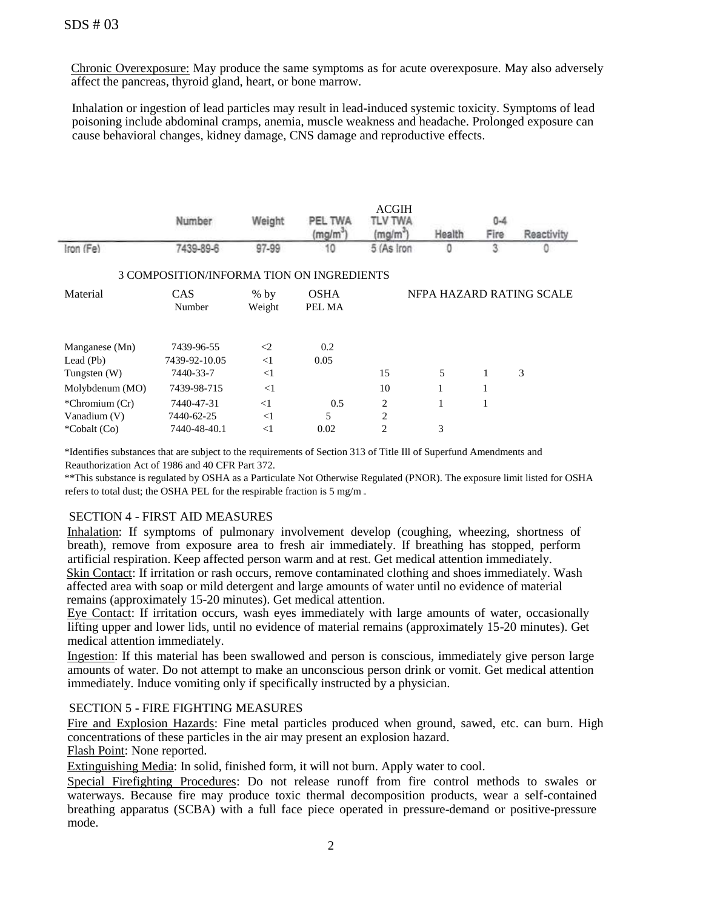Chronic Overexposure: May produce the same symptoms as for acute overexposure. May also adversely affect the pancreas, thyroid gland, heart, or bone marrow.

Inhalation or ingestion of lead particles may result in lead-induced systemic toxicity. Symptoms of lead poisoning include abdominal cramps, anemia, muscle weakness and headache. Prolonged exposure can cause behavioral changes, kidney damage, CNS damage and reproductive effects.

|                                           | Number        | Weiaht | PEL TWA             | <b>ACGIH</b><br>TLV TWA  | $0 - 4$ |      |            |  |  |
|-------------------------------------------|---------------|--------|---------------------|--------------------------|---------|------|------------|--|--|
|                                           |               |        | (ma/m <sup>-)</sup> | (mg/m)                   | Health  | Fire | Reactivity |  |  |
| Iron (Fe)                                 | 7439-89-6     | 97-99  | 10                  | 5 (As Iron               |         | 3    |            |  |  |
| 3 COMPOSITION/INFORMA TION ON INGREDIENTS |               |        |                     |                          |         |      |            |  |  |
| Material                                  | <b>CAS</b>    | $%$ by | <b>OSHA</b>         | NFPA HAZARD RATING SCALE |         |      |            |  |  |
|                                           | Number        | Weight | PEL MA              |                          |         |      |            |  |  |
|                                           |               |        |                     |                          |         |      |            |  |  |
| Manganese (Mn)                            | 7439-96-55    | $\leq$ | 0.2                 |                          |         |      |            |  |  |
| Lead $(Pb)$                               | 7439-92-10.05 | $<$ 1  | 0.05                |                          |         |      |            |  |  |
| Tungsten $(W)$                            | 7440-33-7     | $<$ 1  |                     | 15                       | 5       |      | 3          |  |  |
| Molybdenum (MO)                           | 7439-98-715   | $<$ 1  |                     | 10                       |         |      |            |  |  |
| $*Chromium (Cr)$                          | 7440-47-31    | $<$ 1  | 0.5                 | 2                        | 1       |      |            |  |  |
| Vanadium (V)                              | 7440-62-25    | $<$ 1  | 5                   | $\overline{c}$           |         |      |            |  |  |
| *Cobalt (Co)                              | 7440-48-40.1  | $<$ 1  | 0.02                | $\overline{c}$           | 3       |      |            |  |  |

\*Identifies substances that are subject to the requirements of Section 313 of Title Ill of Superfund Amendments and Reauthorization Act of 1986 and 40 CFR Part 372.

\*\*This substance is regulated by OSHA as a Particulate Not Otherwise Regulated (PNOR). The exposure limit listed for OSHA refers to total dust; the OSHA PEL for the respirable fraction is 5 mg/m

## SECTION 4 - FIRST AID MEASURES

Inhalation: If symptoms of pulmonary involvement develop (coughing, wheezing, shortness of breath), remove from exposure area to fresh air immediately. If breathing has stopped, perform artificial respiration. Keep affected person warm and at rest. Get medical attention immediately. Skin Contact: If irritation or rash occurs, remove contaminated clothing and shoes immediately. Wash affected area with soap or mild detergent and large amounts of water until no evidence of material remains (approximately 15-20 minutes). Get medical attention.

Eye Contact: If irritation occurs, wash eyes immediately with large amounts of water, occasionally lifting upper and lower lids, until no evidence of material remains (approximately 15-20 minutes). Get medical attention immediately.

Ingestion: If this material has been swallowed and person is conscious, immediately give person large amounts of water. Do not attempt to make an unconscious person drink or vomit. Get medical attention immediately. Induce vomiting only if specifically instructed by a physician.

## SECTION 5 - FIRE FIGHTING MEASURES

Fire and Explosion Hazards: Fine metal particles produced when ground, sawed, etc. can burn. High concentrations of these particles in the air may present an explosion hazard.

Flash Point: None reported.

Extinguishing Media: In solid, finished form, it will not burn. Apply water to cool.

Special Firefighting Procedures: Do not release runoff from fire control methods to swales or waterways. Because fire may produce toxic thermal decomposition products, wear a self-contained breathing apparatus (SCBA) with a full face piece operated in pressure-demand or positive-pressure mode.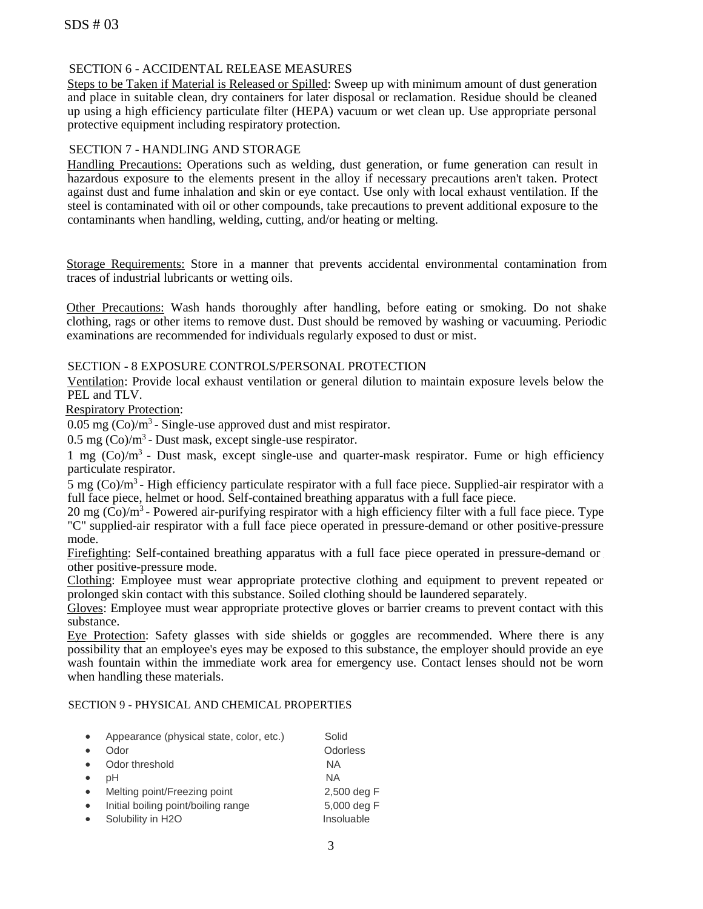# SECTION 6 - ACCIDENTAL RELEASE MEASURES

Steps to be Taken if Material is Released or Spilled: Sweep up with minimum amount of dust generation and place in suitable clean, dry containers for later disposal or reclamation. Residue should be cleaned up using a high efficiency particulate filter (HEPA) vacuum or wet clean up. Use appropriate personal protective equipment including respiratory protection.

#### SECTION 7 - HANDLING AND STORAGE

Handling Precautions: Operations such as welding, dust generation, or fume generation can result in hazardous exposure to the elements present in the alloy if necessary precautions aren't taken. Protect against dust and fume inhalation and skin or eye contact. Use only with local exhaust ventilation. If the steel is contaminated with oil or other compounds, take precautions to prevent additional exposure to the contaminants when handling, welding, cutting, and/or heating or melting.

Storage Requirements: Store in a manner that prevents accidental environmental contamination from traces of industrial lubricants or wetting oils.

Other Precautions: Wash hands thoroughly after handling, before eating or smoking. Do not shake clothing, rags or other items to remove dust. Dust should be removed by washing or vacuuming. Periodic examinations are recommended for individuals regularly exposed to dust or mist.

## SECTION - 8 EXPOSURE CONTROLS/PERSONAL PROTECTION

Ventilation: Provide local exhaust ventilation or general dilution to maintain exposure levels below the PEL and TLV.

Respiratory Protection:

 $0.05$  mg  $(Co)/m<sup>3</sup>$  - Single-use approved dust and mist respirator.

 $0.5$  mg  $(Co)/m<sup>3</sup>$  - Dust mask, except single-use respirator.

1 mg (Co)/m<sup>3</sup> - Dust mask, except single-use and quarter-mask respirator. Fume or high efficiency particulate respirator.

5 mg (Co)/m<sup>3</sup> - High efficiency particulate respirator with a full face piece. Supplied-air respirator with a full face piece, helmet or hood. Self-contained breathing apparatus with a full face piece.

20 mg  $(\overline{Co})/m^3$  - Powered air-purifying respirator with a high efficiency filter with a full face piece. Type "C" supplied-air respirator with a full face piece operated in pressure-demand or other positive-pressure mode.

Firefighting: Self-contained breathing apparatus with a full face piece operated in pressure-demand or other positive-pressure mode.

Clothing: Employee must wear appropriate protective clothing and equipment to prevent repeated or prolonged skin contact with this substance. Soiled clothing should be laundered separately.

Gloves: Employee must wear appropriate protective gloves or barrier creams to prevent contact with this substance.

Eye Protection: Safety glasses with side shields or goggles are recommended. Where there is any possibility that an employee's eyes may be exposed to this substance, the employer should provide an eye wash fountain within the immediate work area for emergency use. Contact lenses should not be worn when handling these materials.

#### SECTION 9 - PHYSICAL AND CHEMICAL PROPERTIES

| Appearance (physical state, color, etc.) | Solid       |
|------------------------------------------|-------------|
| Odor                                     | Odorless    |
| Odor threshold                           | <b>NA</b>   |
| pН                                       | ΝA          |
| Melting point/Freezing point             | 2,500 deg F |
| Initial boiling point/boiling range      | 5,000 deg F |
| Solubility in H2O                        | Insoluable  |
|                                          |             |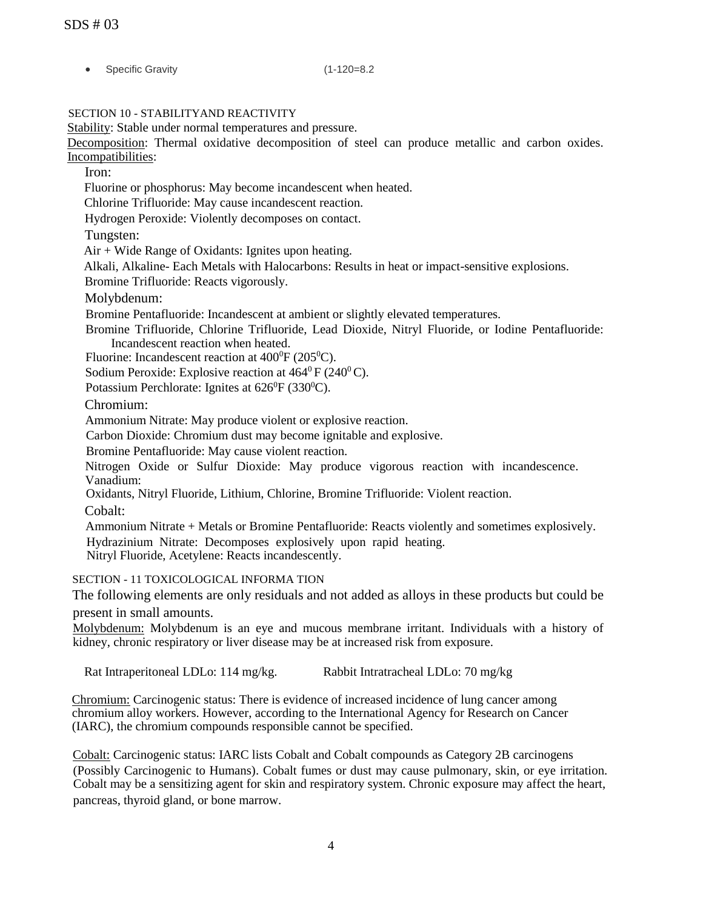| - 0 | <b>Specific Gravity</b> |
|-----|-------------------------|
|     |                         |

 $(1-120=8.2$ 

SECTION 10 - STABILITYAND REACTIVITY

Stability: Stable under normal temperatures and pressure.

Decomposition: Thermal oxidative decomposition of steel can produce metallic and carbon oxides. Incompatibilities:

Iron:

Fluorine or phosphorus: May become incandescent when heated.

Chlorine Trifluoride: May cause incandescent reaction.

Hydrogen Peroxide: Violently decomposes on contact.

Tungsten:

Air + Wide Range of Oxidants: Ignites upon heating.

Alkali, Alkaline- Each Metals with Halocarbons: Results in heat or impact-sensitive explosions.

Bromine Trifluoride: Reacts vigorously.

Molybdenum:

Bromine Pentafluoride: Incandescent at ambient or slightly elevated temperatures.

Bromine Trifluoride, Chlorine Trifluoride, Lead Dioxide, Nitryl Fluoride, or Iodine Pentafluoride: Incandescent reaction when heated.

Fluorine: Incandescent reaction at  $400^{\circ}F(205^{\circ}C)$ .

Sodium Peroxide: Explosive reaction at  $464^{\circ}$  F (240 $^{\circ}$ C).

Potassium Perchlorate: Ignites at  $626^{\circ}F(330^{\circ}C)$ .

Chromium:

Ammonium Nitrate: May produce violent or explosive reaction.

Carbon Dioxide: Chromium dust may become ignitable and explosive.

Bromine Pentafluoride: May cause violent reaction.

Nitrogen Oxide or Sulfur Dioxide: May produce vigorous reaction with incandescence. Vanadium:

Oxidants, Nitryl Fluoride, Lithium, Chlorine, Bromine Trifluoride: Violent reaction.

Cobalt:

Ammonium Nitrate + Metals or Bromine Pentafluoride: Reacts violently and sometimes explosively. Hydrazinium Nitrate: Decomposes explosively upon rapid heating. Nitryl Fluoride, Acetylene: Reacts incandescently.

SECTION - 11 TOXICOLOGICAL INFORMA TION

The following elements are only residuals and not added as alloys in these products but could be present in small amounts.

Molybdenum: Molybdenum is an eye and mucous membrane irritant. Individuals with a history of kidney, chronic respiratory or liver disease may be at increased risk from exposure.

Rat Intraperitoneal LDLo: 114 mg/kg. Rabbit Intratracheal LDLo: 70 mg/kg

Chromium: Carcinogenic status: There is evidence of increased incidence of lung cancer among chromium alloy workers. However, according to the International Agency for Research on Cancer (IARC), the chromium compounds responsible cannot be specified.

Cobalt: Carcinogenic status: IARC lists Cobalt and Cobalt compounds as Category 2B carcinogens (Possibly Carcinogenic to Humans). Cobalt fumes or dust may cause pulmonary, skin, or eye irritation. Cobalt may be a sensitizing agent for skin and respiratory system. Chronic exposure may affect the heart, pancreas, thyroid gland, or bone marrow.